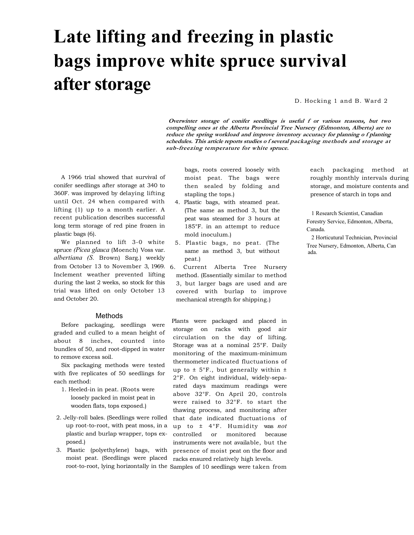# **Late lifting and freezing in plastic bags improve white spruce survival after storage**

D. Hocking 1 and B. Ward 2

**Overwinter storage of conifer seedlings is useful f or various reasons, but two compelling ones at the Alberta Provincial Tree Nursery (Edmonton, Alberta) are to reduce the spring workload and improve inventory accuracy for planning o f planting schedules. This article reports studies o f several packaging methods and storage at sub-freezing temperature for white spruce.** 

A 1966 trial showed that survival of conifer seedlings after storage at 340 to 360F. was improved by delaying lifting until Oct. 24 when compared with lifting (1) up to a month earlier. A recent publication describes successful long term storage of red pine frozen in plastic bags (6).

We planned to lift 3-0 white spruce *(Picea glauca* (Moench) Voss var. *albertiana (S.* Brown) Sarg.) weekly from October 13 to November 3, 1969. Inclement weather prevented lifting during the last 2 weeks, so stock for this trial was lifted on only October 13 and October 20.

### Methods

Before packaging, seedlings were graded and culled to a mean height of about 8 inches, counted into bundles of 50, and root-dipped in water to remove excess soil.

Six packaging methods were tested with five replicates of 50 seedlings for each method:

- 1. Heeled-in in peat. (Roots were loosely packed in moist peat in wooden flats, tops exposed.)
- 2. Jelly-roll bales. (Seedlings were rolled up root-to-root, with peat moss, in a plastic and burlap wrapper, tops exposed.)
- 3. Plastic (polyethylene) bags, with moist peat. (Seedlings were placed

bags, roots covered loosely with moist peat. The bags were then sealed by folding and stapling the tops.)

- 4. Plastic bags, with steamed peat. (The same as method 3, but the peat was steamed for 3 hours at 185°F. in an attempt to reduce mold inoculum.)
- 5. Plastic bags, no peat. (The same as method 3, but without peat.)
- Current Alberta Tree Nursery method. (Essentially similar to method 3, but larger bags are used and are covered with burlap to improve mechanical strength for shipping.)

Plants were packaged and placed in storage on racks with good air circulation on the day of lifting. Storage was at a nominal 25°F. Daily monitoring of the maximum-minimum thermometer indicated fluctuations of up to  $\pm$  5°F., but generally within  $\pm$ 2°F. On eight individual, widely-separated days maximum readings were above 32°F. On April 20, controls were raised to 32°F. to start the thawing process, and monitoring after that date indicated fluctuations of up to ± 4°F. Humidity was *not*  controlled or monitored because instruments were not available, but the presence of moist peat on the floor and racks ensured relatively high levels.

root-to-root, lying horizontally in the Samples of 10 seedlings were taken from

each packaging method at roughly monthly intervals during storage, and moisture contents and presence of starch in tops and

1 Research Scientist, Canadian Forestry Service, Edmonton, Alberta, Canada.

2 Horticutural Technician, Provincial Tree Nursery, Edmonton, Alberta, Can ada.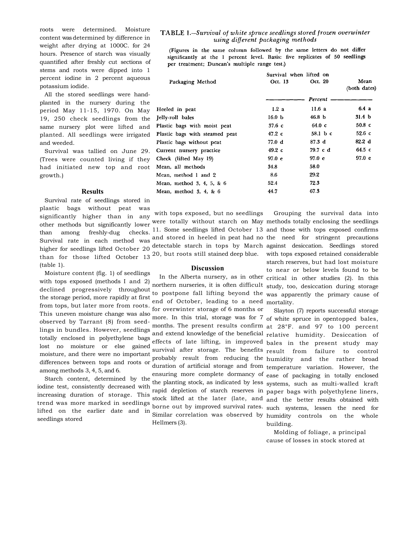roots were determined. Moisture content was determined by difference in weight after drying at 1000C. for 24 hours. Presence of starch was visually quantified after freshly cut sections of stems and roots were dipped into 1 percent iodine in 2 percent aqueous potassium iodide.

All the stored seedlings were handplanted in the nursery during the period May 11-15, 1970. On May 19, 250 check seedlings from the same nursery plot were lifted and planted. All seedlings were irrigated and weeded.

Survival was tallied on June 29. (Trees were counted living if they had initiated new top and root growth.)

#### **Results**

Survival rate of seedlings stored in plastic bags without peat was than among freshly-dug checks. (table 1).

Moisture content (fig. 1) of seedlings with tops exposed (methods I and 2) This uneven moisture change was also lost no moisture or else gained moisture, and there were no important differences between tops and roots or among methods 3, 4, 5, and 6.

Starch content, determined by the iodine test, consistently decreased with increasing duration of storage. This lifted on the earlier date and in

## TABLE 1.-Survival of white spruce seedlings stored frozen overwinter using different packaging methods

(Figures in the same column followed by the same letters do not differ significantly at the 1 percent level. Basis: five replicates of 50 seedlings per treatment; Duncan's multiple range test.)

|                                | Survival when lifted on |                   |                      |
|--------------------------------|-------------------------|-------------------|----------------------|
| Packaging Method               | Oct. 13                 | Oct. 20           | Mean<br>(both dates) |
|                                |                         | Percent           |                      |
| Heeled in peat                 | 1.2a                    | 11.6a             | 6.4a                 |
| Jelly-roll bales               | 16.0 <sub>b</sub>       | 46.8 <sub>b</sub> | 31.4 <sub>b</sub>    |
| Plastic bags with moist peat   | $37.6\text{ c}$         | $64.0\text{ c}$   | $50.8\text{ c}$      |
| Plastic bags with steamed peat | 47.2 с                  | 58.1 b c          | $52.6\text{ c}$      |
| Plastic bags without peat      | 77.0 d                  | 87.3 <sub>d</sub> | 82.2 d               |
| Current nursery practice       | $49.2\text{ c}$         | 79.7 c d          | $64.5\nc$            |
| Check (lifted May 19)          | 97.0 <sub>e</sub>       | 97.0 e            | 97.0 e               |
| Mean, all methods              | 34.8                    | 58.0              |                      |
| Mean, method 1 and 2           | 8.6                     | 29.2              |                      |
| Mean, method 3, 4, 5, & 6      | 52.4                    | 72.3              |                      |
| Mean, method $3, 4, 8, 6$      | 44.7                    | 67.3              |                      |
|                                |                         |                   |                      |

significantly higher than in any with tops exposed, but no seedlings

#### **Discussion**

from tops, but later more from roots.<br>
for overwinter storage of 6 months or notic musically the distribution of the more. In this trial, storage was for 7 observed by Tarrant (8) from seedend of October, leading to a need mortality. Hellmers (3).

other methods but significantly lower were totally without starch on May methods totally enclosing the seedlings Survival rate in each method was and stored in heeled in peat had no the need for stringent precautions higher for seedlings lifted October 20 detectable starch in tops by March against desiccation. Seedlings stored than for those lifted October 13<sup>20</sup>, but roots still stained deep blue. with tops exposed retained considerable while the caposed (included 1 and 2) northern nurseries, it is often difficult study, too, desiccation during storage declined progressively throughout determined progressively allocated to postpone fall lifting beyond the was apparently the primary cause of the storage period, more rapidly at first 11. Some seedlings lifted October 13 and those with tops exposed confirms In the Alberta nursery, as in other critical in other studies (2). In this Grouping the survival data into starch reserves, but had lost moisture to near or below levels found to be

bused by Tarrant (b) from secure months. The present results confirm at 28°F. and 97 to 100 percent totally enclosed in polyethylene bags and extend knowledge of the beneficial relative humidity. Desiccation of trend was more marked in seedlings borne out by improved survival rates. such systems, lessen the need for seedlings stored the cancel and m Similar correlation was observed by humidity controls on the whole effects of late lifting, in improved bales in the present study may survival after storage. The benefits result from failure to control probably result from reducing the humidity and the rather broad duration of artificial storage and from temperature variation. However, the ensuring more complete dormancy of ease of packaging in totally enclosed the planting stock, as indicated by less systems, such as multi-walled kraft rapid depletion of starch reserves in paper bags with polyethylene liners, stock lifted at the later (late, and and the better results obtained with Slayton (7) reports successful storage of white spruce in opentopped bales, building.

> Molding of foliage, a principal cause of losses in stock stored at